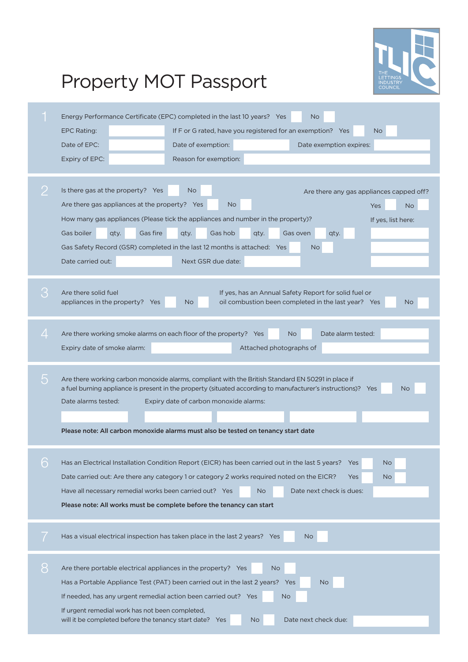

## Property MOT Passport

|   | Energy Performance Certificate (EPC) completed in the last 10 years? Yes<br><b>No</b><br>If F or G rated, have you registered for an exemption? Yes<br><b>EPC Rating:</b><br>N <sub>o</sub><br>Date of EPC:<br>Date of exemption:<br>Date exemption expires:<br>Reason for exemption:<br>Expiry of EPC:<br>Is there gas at the property? Yes<br><b>No</b><br>Are there any gas appliances capped off?        |
|---|--------------------------------------------------------------------------------------------------------------------------------------------------------------------------------------------------------------------------------------------------------------------------------------------------------------------------------------------------------------------------------------------------------------|
|   | Are there gas appliances at the property? Yes<br>No.<br><b>No</b><br>Yes<br>How many gas appliances (Please tick the appliances and number in the property)?<br>If yes, list here:<br>Gas fire<br>Gas hob<br>Gas boiler<br>Gas oven<br>qty.<br>qty.<br>qty.<br>qty.<br>Gas Safety Record (GSR) completed in the last 12 months is attached: Yes<br>N <sub>o</sub><br>Date carried out:<br>Next GSR due date: |
|   | Are there solid fuel<br>If yes, has an Annual Safety Report for solid fuel or<br>oil combustion been completed in the last year? Yes<br>appliances in the property? Yes<br><b>No</b><br><b>No</b>                                                                                                                                                                                                            |
|   | Are there working smoke alarms on each floor of the property? Yes<br>Date alarm tested:<br><b>No</b><br>Expiry date of smoke alarm:<br>Attached photographs of                                                                                                                                                                                                                                               |
|   | Are there working carbon monoxide alarms, compliant with the British Standard EN 50291 in place if<br>a fuel burning appliance is present in the property (situated according to manufacturer's instructions)? Yes<br>No<br>Date alarms tested:<br>Expiry date of carbon monoxide alarms:<br>Please note: All carbon monoxide alarms must also be tested on tenancy start date                               |
| 6 | Has an Electrical Installation Condition Report (EICR) has been carried out in the last 5 years?<br>Yes<br>No.<br>Date carried out: Are there any category 1 or category 2 works required noted on the EICR?<br>Yes<br>No.<br>Have all necessary remedial works been carried out? Yes<br>Date next check is dues:<br><b>No</b><br>Please note: All works must be complete before the tenancy can start       |
|   | Has a visual electrical inspection has taken place in the last 2 years? Yes<br><b>No</b>                                                                                                                                                                                                                                                                                                                     |
| 8 | Are there portable electrical appliances in the property? Yes<br><b>No</b><br>Has a Portable Appliance Test (PAT) been carried out in the last 2 years? Yes<br>No<br>If needed, has any urgent remedial action been carried out? Yes<br>No.<br>If urgent remedial work has not been completed,<br>will it be completed before the tenancy start date? Yes<br>Date next check due:<br>No.                     |